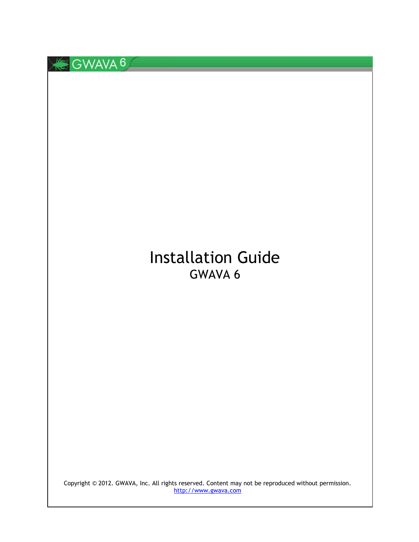

# Installation Guide GWAVA 6

Copyright © 2012. GWAVA, Inc. All rights reserved. Content may not be reproduced without permission. [http://www.gwava.com](http://www.gwava.com/)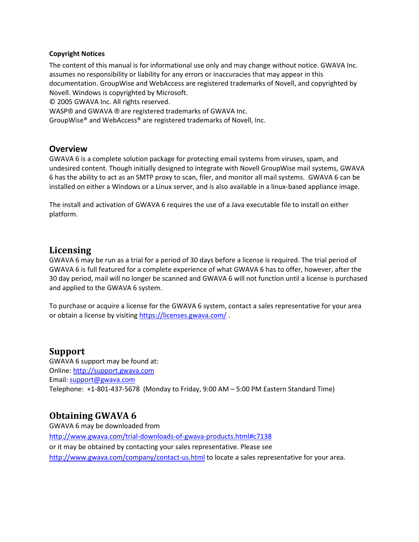#### **Copyright Notices**

The content of this manual is for informational use only and may change without notice. GWAVA Inc. assumes no responsibility or liability for any errors or inaccuracies that may appear in this documentation. GroupWise and WebAccess are registered trademarks of Novell, and copyrighted by Novell. Windows is copyrighted by Microsoft.

© 2005 GWAVA Inc. All rights reserved.

WASP® and GWAVA ® are registered trademarks of GWAVA Inc.

GroupWise® and WebAccess® are registered trademarks of Novell, Inc.

#### **Overview**

GWAVA 6 is a complete solution package for protecting email systems from viruses, spam, and undesired content. Though initially designed to integrate with Novell GroupWise mail systems, GWAVA 6 has the ability to act as an SMTP proxy to scan, filer, and monitor all mail systems. GWAVA 6 can be installed on either a Windows or a Linux server, and is also available in a linux-based appliance image.

The install and activation of GWAVA 6 requires the use of a Java executable file to install on either platform.

## **Licensing**

GWAVA 6 may be run as a trial for a period of 30 days before a license is required. The trial period of GWAVA 6 is full featured for a complete experience of what GWAVA 6 has to offer, however, after the 30 day period, mail will no longer be scanned and GWAVA 6 will not function until a license is purchased and applied to the GWAVA 6 system.

To purchase or acquire a license for the GWAVA 6 system, contact a sales representative for your area or obtain a license by visitin[g https://licenses.gwava.com/](https://licenses.gwava.com/)

#### **Support**

GWAVA 6 support may be found at: Online: [http://support.gwava.com](http://support.gwava.com/) Email: [support@gwava.com](mailto:support@gwava.com) Telephone: +1-801-437-5678 (Monday to Friday, 9:00 AM – 5:00 PM Eastern Standard Time)

## **Obtaining GWAVA 6**

GWAVA 6 may be downloaded from <http://www.gwava.com/trial-downloads-of-gwava-products.html#c7138> or it may be obtained by contacting your sales representative. Please see <http://www.gwava.com/company/contact-us.html> to locate a sales representative for your area.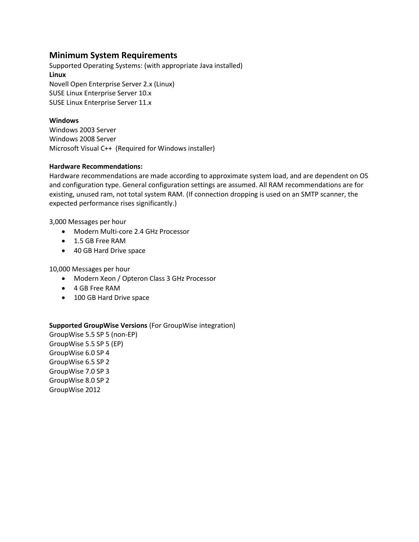# **Minimum System Requirements**

Supported Operating Systems: (with appropriate Java installed) **Linux** Novell Open Enterprise Server 2.x (Linux) SUSE Linux Enterprise Server 10.x SUSE Linux Enterprise Server 11.x

#### **Windows**

Windows 2003 Server Windows 2008 Server Microsoft Visual C++ (Required for Windows installer)

#### **Hardware Recommendations:**

Hardware recommendations are made according to approximate system load, and are dependent on OS and configuration type. General configuration settings are assumed. All RAM recommendations are for existing, unused ram, not total system RAM. (If connection dropping is used on an SMTP scanner, the expected performance rises significantly.)

3,000 Messages per hour

- Modern Multi-core 2.4 GHz Processor
- 1.5 GB Free RAM
- 40 GB Hard Drive space

10,000 Messages per hour

- Modern Xeon / Opteron Class 3 GHz Processor
- 4 GB Free RAM
- 100 GB Hard Drive space

#### **Supported GroupWise Versions** (For GroupWise integration)

GroupWise 5.5 SP 5 (non-EP) GroupWise 5.5 SP 5 (EP) GroupWise 6.0 SP 4 GroupWise 6.5 SP 2 GroupWise 7.0 SP 3 GroupWise 8.0 SP 2 GroupWise 2012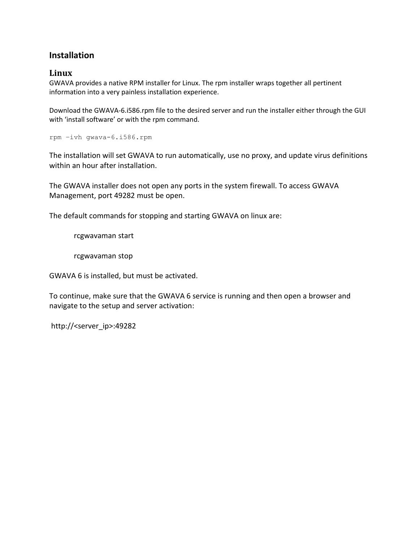# **Installation**

### **Linux**

GWAVA provides a native RPM installer for Linux. The rpm installer wraps together all pertinent information into a very painless installation experience.

Download the GWAVA-6.i586.rpm file to the desired server and run the installer either through the GUI with 'install software' or with the rpm command.

rpm –ivh gwava-6.i586.rpm

The installation will set GWAVA to run automatically, use no proxy, and update virus definitions within an hour after installation.

The GWAVA installer does not open any ports in the system firewall. To access GWAVA Management, port 49282 must be open.

The default commands for stopping and starting GWAVA on linux are:

rcgwavaman start

rcgwavaman stop

GWAVA 6 is installed, but must be activated.

To continue, make sure that the GWAVA 6 service is running and then open a browser and navigate to the setup and server activation:

http://<server\_ip>:49282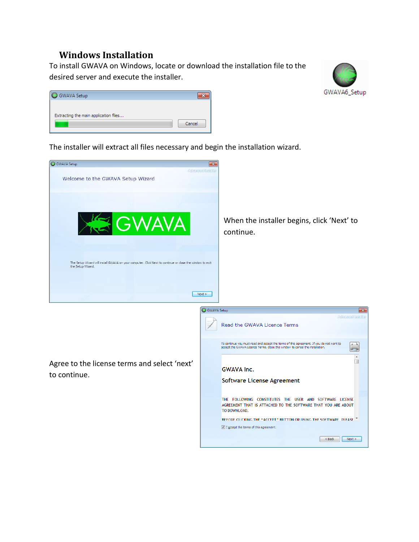# **Windows Installation**

To install GWAVA on Windows, locate or download the installation file to the desired server and execute the installer.



| GWAVA Setup                           |        |
|---------------------------------------|--------|
| Extracting the main application files | Cancel |

The installer will extract all files necessary and begin the installation wizard.

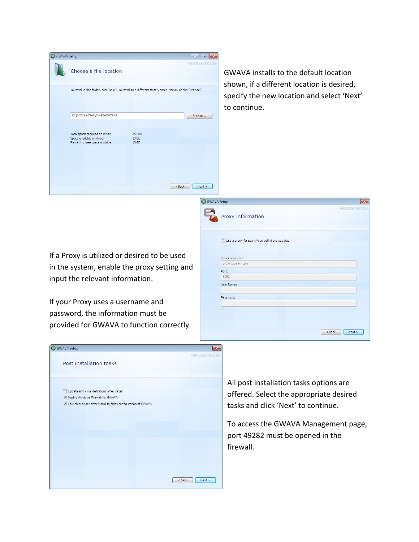| <b>GWAVA Setup</b> |                                                                                                              |                                     | $\Box$ $\Box$      |
|--------------------|--------------------------------------------------------------------------------------------------------------|-------------------------------------|--------------------|
|                    | Choose a file location                                                                                       |                                     | Advanced Installer |
|                    | To install in this folder, click "Next". To install to a different folder, enter it below or click "Browse". |                                     |                    |
|                    | C:\Program Files\GWAVA\GWAVA                                                                                 |                                     | Browse             |
|                    | Total space required on drive:<br>Space available on drive:<br>Remaining free space on drive:                | 258 MB<br>13 GB<br>13 <sub>GB</sub> |                    |
|                    |                                                                                                              |                                     |                    |
|                    |                                                                                                              |                                     | $<$ Back<br>Next   |

GWAVA installs to the default location shown, if a different location is desired, specify the new location and select 'Next' to continue.

If a Proxy is utilized or desired to be used in the system, enable the proxy setting and input the relevant information.

If your Proxy uses a username and password, the information must be provided for GWAVA to function correctly.

| G GWAVA Setup |                                                | $\mathbf{x}$       |
|---------------|------------------------------------------------|--------------------|
| tina.<br>1994 | Proxy information                              | Advanced Installor |
|               | Use a proxy for spam/virus definitions updates |                    |
|               | Proxy hostname:                                |                    |
|               | proxy.domain.com                               |                    |
|               | Port:                                          |                    |
|               | 8080                                           |                    |
|               | User Name:                                     |                    |
|               | Password:                                      |                    |
|               |                                                |                    |
|               |                                                | $<$ Back<br>Next   |



All post installation tasks options are offered. Select the appropriate desired tasks and click 'Next' to continue.

To access the GWAVA Management page, port 49282 must be opened in the firewall.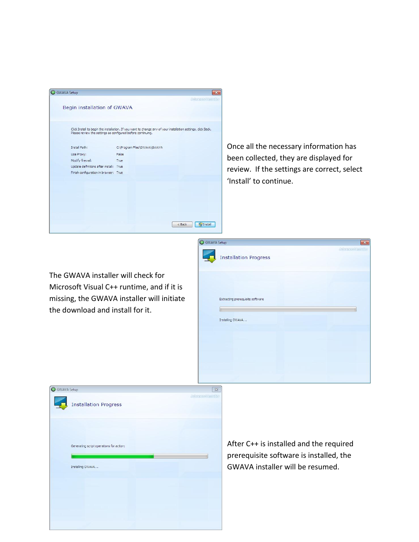| Advanced linguillar<br>Begin installation of GWAVA<br>Click Install to begin the installation. If you want to change any of your installation settings, click Back.<br>Please review the settings as configured before continuing.<br>Once all the necessary<br>C: \Program Files\GWAVA\GWAVA<br>Install Path:<br>Use Proxy:<br>False<br>been collected, they a<br>Modify firewall:<br>True<br>Update definitions after install: True<br>review. If the settings<br>Finish configuration in browser: True<br>'Install' to continue. |  |
|-------------------------------------------------------------------------------------------------------------------------------------------------------------------------------------------------------------------------------------------------------------------------------------------------------------------------------------------------------------------------------------------------------------------------------------------------------------------------------------------------------------------------------------|--|
|                                                                                                                                                                                                                                                                                                                                                                                                                                                                                                                                     |  |
|                                                                                                                                                                                                                                                                                                                                                                                                                                                                                                                                     |  |
|                                                                                                                                                                                                                                                                                                                                                                                                                                                                                                                                     |  |
|                                                                                                                                                                                                                                                                                                                                                                                                                                                                                                                                     |  |
|                                                                                                                                                                                                                                                                                                                                                                                                                                                                                                                                     |  |
|                                                                                                                                                                                                                                                                                                                                                                                                                                                                                                                                     |  |
|                                                                                                                                                                                                                                                                                                                                                                                                                                                                                                                                     |  |
|                                                                                                                                                                                                                                                                                                                                                                                                                                                                                                                                     |  |
|                                                                                                                                                                                                                                                                                                                                                                                                                                                                                                                                     |  |
|                                                                                                                                                                                                                                                                                                                                                                                                                                                                                                                                     |  |
|                                                                                                                                                                                                                                                                                                                                                                                                                                                                                                                                     |  |
|                                                                                                                                                                                                                                                                                                                                                                                                                                                                                                                                     |  |
|                                                                                                                                                                                                                                                                                                                                                                                                                                                                                                                                     |  |
| <b>Fall</b> nstall<br>< Back                                                                                                                                                                                                                                                                                                                                                                                                                                                                                                        |  |

v information has are displayed for s are correct, select

The GWAVA installer will check for Microsoft Visual C++ runtime, and if it is missing, the GWAVA installer will initiate the download and install for it.

| GWAVA Setup                      | $-23$              |
|----------------------------------|--------------------|
| <b>Installation Progress</b>     | Advanced Installer |
| Extracting prerequisite software |                    |
| Installing GWAVA                 |                    |
|                                  |                    |
|                                  |                    |



After C++ is installed and the required prerequisite software is installed, the GWAVA installer will be resumed.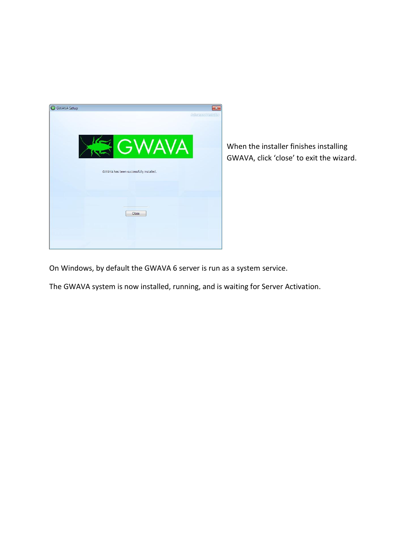

When the installer finishes installing GWAVA, click 'close' to exit the wizard.

On Windows, by default the GWAVA 6 server is run as a system service.

The GWAVA system is now installed, running, and is waiting for Server Activation.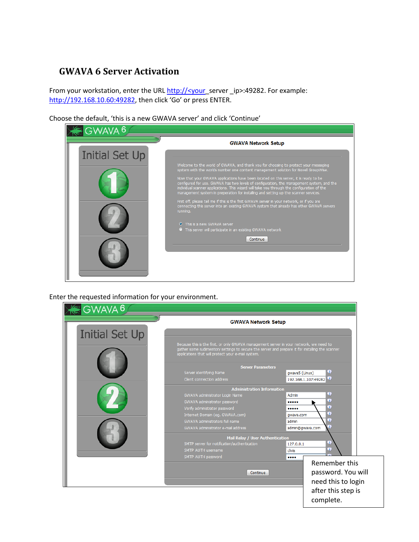# **GWAVA 6 Server Activation**

From your workstation, enter the URL http://<your\_server \_ip>:49282. For example: [http://192.168.10.60:49282](http://192.168.10.60:49282/), then click 'Go' or press ENTER.

Choose the default, 'this is a new GWAVA server' and click 'Continue'



Enter the requested information for your environment.

|                       | <b>GWAVA Network Setup</b>                                                                                                                                                                                                                      |                                            |
|-----------------------|-------------------------------------------------------------------------------------------------------------------------------------------------------------------------------------------------------------------------------------------------|--------------------------------------------|
|                       |                                                                                                                                                                                                                                                 |                                            |
| <b>Initial Set Up</b> |                                                                                                                                                                                                                                                 |                                            |
|                       | Because this is the first, or only GWAVA management server in your network, we need to<br>gather some rudimentory settings to secure the server and prepare it for installing the scanner<br>applications that will protect your e-mail system. |                                            |
|                       | <b>Server Parameters</b>                                                                                                                                                                                                                        |                                            |
|                       | Server identifying Name<br>Client connection address                                                                                                                                                                                            | Q<br>gwava5 (Linux)<br>192.168.1.107:49282 |
|                       | <b>Administration Information</b>                                                                                                                                                                                                               |                                            |
|                       | GWAVA administrator Login Name                                                                                                                                                                                                                  | Q<br>Admin                                 |
|                       | GWAVA administrator password                                                                                                                                                                                                                    | Q<br><br>Q                                 |
|                       | Verify administrator password                                                                                                                                                                                                                   | <br>Q                                      |
|                       | Internet Domain (eg. GWAVA.com)<br>GWAVA administrators full name                                                                                                                                                                               | qwava.com<br>o<br>admin                    |
|                       | GWAVA administrator e-mail address                                                                                                                                                                                                              | Ш<br>admin@gwava.com                       |
|                       | Mail Relay / User Authentication                                                                                                                                                                                                                |                                            |
|                       | SMTP server for notification/authentication                                                                                                                                                                                                     | 9<br>127.0.0.1                             |
|                       | SMTP AUTH username                                                                                                                                                                                                                              | Q<br>chris                                 |
|                       | SMTP AUTH password                                                                                                                                                                                                                              | <br>Remember this                          |
|                       |                                                                                                                                                                                                                                                 |                                            |
|                       | Continue                                                                                                                                                                                                                                        | password. You will                         |
|                       |                                                                                                                                                                                                                                                 | need this to login                         |
|                       |                                                                                                                                                                                                                                                 | after this step is                         |
|                       |                                                                                                                                                                                                                                                 | complete.                                  |